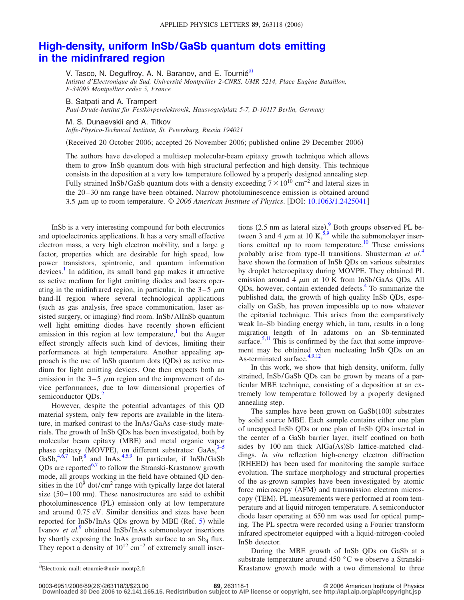## **[High-density, uniform InSb/GaSb quantum dots emitting](http://dx.doi.org/10.1063/1.2425041) [in the midinfrared region](http://dx.doi.org/10.1063/1.2425041)**

V. Tasco, N. Deguffroy, A. N. Baranov, and E. Tournié<sup>a)</sup>

*Intistut d'Electronique du Sud, Université Montpellier 2-CNRS, UMR 5214, Place Eugène Bataillon, F-34095 Montpellier cedex 5, France*

B. Satpati and A. Trampert

*Paul-Drude-Institut für Festkörperelektronik, Hausvogteiplatz 5-7, D-10117 Berlin, Germany*

M. S. Dunaevskii and A. Titkov

*Ioffe-Physico-Technical Institute, St. Petersburg, Russia 194021*

Received 20 October 2006; accepted 26 November 2006; published online 29 December 2006-

The authors have developed a multistep molecular-beam epitaxy growth technique which allows them to grow InSb quantum dots with high structural perfection and high density. This technique consists in the deposition at a very low temperature followed by a properly designed annealing step. Fully strained InSb/GaSb quantum dots with a density exceeding  $7 \times 10^{10}$  cm<sup>-2</sup> and lateral sizes in the 20–30 nm range have been obtained. Narrow photoluminescence emission is obtained around 3.5  $\mu$ m up to room temperature. © 2006 American Institute of Physics. [DOI: [10.1063/1.2425041](http://dx.doi.org/10.1063/1.2425041)]

InSb is a very interesting compound for both electronics and optoelectronics applications. It has a very small effective electron mass, a very high electron mobility, and a large *g* factor, properties which are desirable for high speed, low power transistors, spintronic, and quantum information devices.<sup>1</sup> In addition, its small band gap makes it attractive as active medium for light emitting diodes and lasers operating in the midinfrared region, in particular, in the  $3-5 \mu m$ band-II region where several technological applications (such as gas analysis, free space communication, laser assisted surgery, or imaging) find room. InSb/AlInSb quantum well light emitting diodes have recently shown efficient emission in this region at low temperature, $\frac{1}{1}$  but the Auger effect strongly affects such kind of devices, limiting their performances at high temperature. Another appealing approach is the use of InSb quantum dots (QDs) as active medium for light emitting devices. One then expects both an emission in the  $3-5 \mu m$  region and the improvement of device performances, due to low dimensional properties of semiconductor QDs.<sup>2</sup>

However, despite the potential advantages of this QD material system, only few reports are available in the literature, in marked contrast to the InAs/GaAs case-study materials. The growth of InSb QDs has been investigated, both by molecular beam epitaxy (MBE) and metal organic vapor phase epitaxy (MOVPE), on different substrates:  $GaAs$ ,  $3-5$  $3-5$ GaSb,  $4,6,7$  $4,6,7$  $4,6,7$  InP,  $8$  and InAs.  $4,5,9$  $4,5,9$  $4,5,9$  In particular, if InSb/GaSb QDs are reported<sup>6,[7](#page-2-6)</sup> to follow the Stranski-Krastanow growth mode, all groups working in the field have obtained QD densities in the  $10^9$  dot/cm<sup>2</sup> range with typically large dot lateral size  $(50-100 \text{ nm})$ . These nanostructures are said to exhibit photoluminescence (PL) emission only at low temperature and around 0.75 eV. Similar densities and sizes have been reported for InSb/InAs QDs grown by MBE (Ref. [5](#page-2-3)) while Ivanov *et al.*[9](#page-2-8) obtained InSb/InAs submonolayer insertions by shortly exposing the InAs growth surface to an  $Sb_4$  flux. They report a density of  $10^{12}$  cm<sup>-2</sup> of extremely small inser-

tions  $(2.5 \text{ nm}$  as lateral size).<sup>[9](#page-2-8)</sup> Both groups observed PL between 3 and 4  $\mu$ m at 10 K,<sup>5[,9](#page-2-8)</sup> while the submonolayer insertions emitted up to room temperature.<sup>10</sup> These emissions probably arise from type-II transitions. Shusterman *et al.*[4](#page-2-4) have shown the formation of InSb QDs on various substrates by droplet heteroepitaxy during MOVPE. They obtained PL emission around 4  $\mu$ m at 10 K from InSb/GaAs QDs. All QDs, however, contain extended defects.<sup>4</sup> To summarize the published data, the growth of high quality InSb QDs, especially on GaSb, has proven impossible up to now whatever the epitaxial technique. This arises from the comparatively weak In–Sb binding energy which, in turn, results in a long migration length of In adatoms on an Sb-terminated surface. $5,11$  $5,11$  This is confirmed by the fact that some improvement may be obtained when nucleating InSb QDs on an As-terminated surface.<sup>4[,9,](#page-2-8)[12](#page-2-11)</sup>

In this work, we show that high density, uniform, fully strained, InSb/GaSb QDs can be grown by means of a particular MBE technique, consisting of a deposition at an extremely low temperature followed by a properly designed annealing step.

The samples have been grown on  $GaSb(100)$  substrates by solid source MBE. Each sample contains either one plan of uncapped InSb QDs or one plan of InSb QDs inserted in the center of a GaSb barrier layer, itself confined on both sides by 100 nm thick AlGa(As)Sb lattice-matched claddings. *In situ* reflection high-energy electron diffraction (RHEED) has been used for monitoring the sample surface evolution. The surface morphology and structural properties of the as-grown samples have been investigated by atomic force microscopy (AFM) and transmission electron microscopy (TEM). PL measurements were performed at room temperature and at liquid nitrogen temperature. A semiconductor diode laser operating at 650 nm was used for optical pumping. The PL spectra were recorded using a Fourier transform infrared spectrometer equipped with a liquid-nitrogen-cooled InSb detector.

During the MBE growth of InSb QDs on GaSb at a substrate temperature around 450 °C we observe a Stranski-Krastanow growth mode with a two dimensional to three

26/263118/3/\$23.00 © 2006 American Institute of Physics **89**, 263118-1 **Downloaded 30 Dec 2006 to 62.141.165.15. Redistribution subject to AIP license or copyright, see http://apl.aip.org/apl/copyright.jsp**

<span id="page-0-0"></span>Electronic mail: etournie@univ-montp2.fr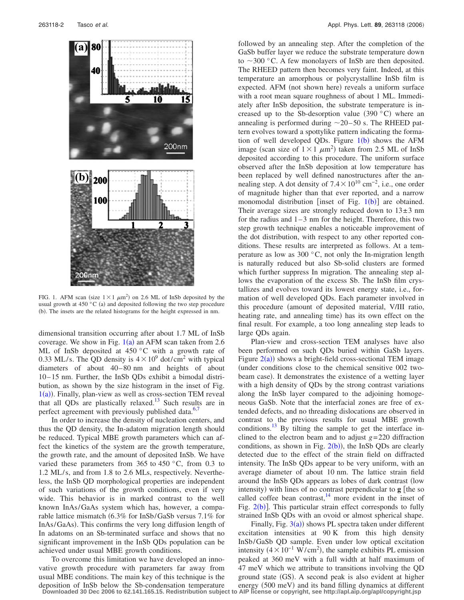<span id="page-1-0"></span>

FIG. 1. AFM scan (size  $1 \times 1 \ \mu m^2$ ) on 2.6 ML of InSb deposited by the usual growth at 450 $\degree$ C (a) and deposited following the two step procedure (b). The insets are the related histograms for the height expressed in nm.

dimensional transition occurring after about 1.7 ML of InSb coverage. We show in Fig.  $1(a)$  $1(a)$  an AFM scan taken from 2.6 ML of InSb deposited at  $450\degree$ C with a growth rate of 0.33 ML/s. The QD density is  $4 \times 10^9$  dot/cm<sup>2</sup> with typical diameters of about 40–80 nm and heights of about 10–15 nm. Further, the InSb QDs exhibit a bimodal distribution, as shown by the size histogram in the inset of Fig.  $1(a)$  $1(a)$ ). Finally, plan-view as well as cross-section TEM reveal that all QDs are plastically relaxed.<sup>13</sup> Such results are in perfect agreement with previously published data.<sup>6[,7](#page-2-6)</sup>

In order to increase the density of nucleation centers, and thus the QD density, the In-adatom migration length should be reduced. Typical MBE growth parameters which can affect the kinetics of the system are the growth temperature, the growth rate, and the amount of deposited InSb. We have varied these parameters from 365 to 450  $^{\circ}$ C, from 0.3 to 1.2 ML/s, and from 1.8 to 2.6 MLs, respectively. Nevertheless, the InSb QD morphological properties are independent of such variations of the growth conditions, even if very wide. This behavior is in marked contrast to the well known InAs/GaAs system which has, however, a comparable lattice mismatch 6.3% for InSb/GaSb versus 7.1% for InAs/GaAs). This confirms the very long diffusion length of In adatoms on an Sb-terminated surface and shows that no significant improvement in the InSb QDs population can be achieved under usual MBE growth conditions.

To overcome this limitation we have developed an innovative growth procedure with parameters far away from usual MBE conditions. The main key of this technique is the deposition of InSb below the Sb-condensation temperature followed by an annealing step. After the completion of the GaSb buffer layer we reduce the substrate temperature down to  $\sim$ 300 °C. A few monolayers of InSb are then deposited. The RHEED pattern then becomes very faint. Indeed, at this temperature an amorphous or polycrystalline InSb film is expected. AFM (not shown here) reveals a uniform surface with a root mean square roughness of about 1 ML. Immediately after InSb deposition, the substrate temperature is increased up to the Sb-desorption value  $(390 °C)$  where an annealing is performed during  $\sim$  20–50 s. The RHEED pattern evolves toward a spottylike pattern indicating the formation of well developed QDs. Figure  $1(b)$  $1(b)$  shows the AFM image (scan size of  $1 \times 1 \ \mu m^2$ ) taken from 2.5 ML of InSb deposited according to this procedure. The uniform surface observed after the InSb deposition at low temperature has been replaced by well defined nanostructures after the annealing step. A dot density of  $7.4 \times 10^{10}$  cm<sup>-2</sup>, i.e., one order of magnitude higher than that ever reported, and a narrow monomodal distribution [inset of Fig.  $1(b)$  $1(b)$ ] are obtained. Their average sizes are strongly reduced down to  $13\pm3$  nm for the radius and  $1-3$  nm for the height. Therefore, this two step growth technique enables a noticeable improvement of the dot distribution, with respect to any other reported conditions. These results are interpreted as follows. At a temperature as low as 300 °C, not only the In-migration length is naturally reduced but also Sb-solid clusters are formed which further suppress In migration. The annealing step allows the evaporation of the excess Sb. The InSb film crystallizes and evolves toward its lowest energy state, i.e., formation of well developed QDs. Each parameter involved in this procedure (amount of deposited material, V/III ratio, heating rate, and annealing time) has its own effect on the final result. For example, a too long annealing step leads to large QDs again.

Plan-view and cross-section TEM analyses have also been performed on such QDs buried within GaSb layers. Figure  $2(a)$  $2(a)$ ) shows a bright-field cross-sectional TEM image under conditions close to the chemical sensitive 002 twobeam case). It demonstrates the existence of a wetting layer with a high density of QDs by the strong contrast variations along the InSb layer compared to the adjoining homogeneous GaSb. Note that the interfacial zones are free of extended defects, and no threading dislocations are observed in contrast to the previous results for usual MBE growth conditions. $^{13}$  By tilting the sample to get the interface inclined to the electron beam and to adjust  $g = 220$  diffraction conditions, as shown in Fig.  $2(b)$  $2(b)$ ), the InSb QDs are clearly detected due to the effect of the strain field on diffracted intensity. The InSb QDs appear to be very uniform, with an average diameter of about 10 nm. The lattice strain field around the InSb QDs appears as lobes of dark contrast low intensity) with lines of no contrast perpendicular to **g** [the so called coffee bean contrast, $14$  more evident in the inset of Fig.  $2(b)$  $2(b)$ ]. This particular strain effect corresponds to fully strained InSb QDs with an ovoid or almost spherical shape.

Finally, Fig.  $3(a)$  $3(a)$ ) shows PL spectra taken under different excitation intensities at 90 K from this high density InSb/GaSb QD sample. Even under low optical excitation intensity  $(4 \times 10^{-1} \text{ W/cm}^2)$ , the sample exhibits PL emission peaked at 360 meV with a full width at half maximum of 47 meV which we attribute to transitions involving the QD ground state (GS). A second peak is also evident at higher energy (500 meV) and its band filling dynamics at different **Downloaded 30 Dec 2006 to 62.141.165.15. Redistribution subject to AIP license or copyright, see http://apl.aip.org/apl/copyright.jsp**